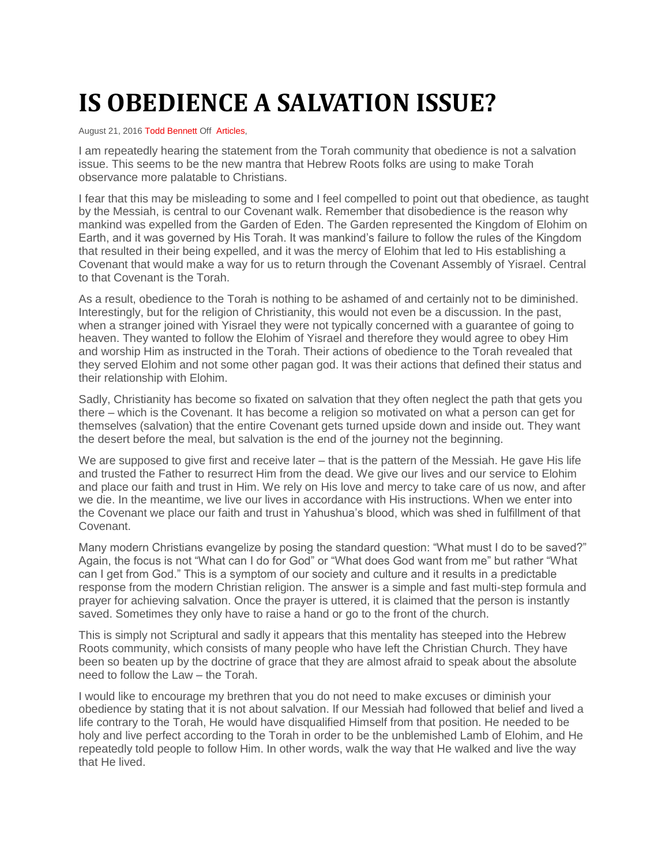## **IS OBEDIENCE A SALVATION ISSUE?**

August 21, 2016 [Todd Bennett](http://shemayisrael.net/author/tbennett/) Off [Articles,](http://shemayisrael.net/category/articles/)

I am repeatedly hearing the statement from the Torah community that obedience is not a salvation issue. This seems to be the new mantra that Hebrew Roots folks are using to make Torah observance more palatable to Christians.

I fear that this may be misleading to some and I feel compelled to point out that obedience, as taught by the Messiah, is central to our Covenant walk. Remember that disobedience is the reason why mankind was expelled from the Garden of Eden. The Garden represented the Kingdom of Elohim on Earth, and it was governed by His Torah. It was mankind's failure to follow the rules of the Kingdom that resulted in their being expelled, and it was the mercy of Elohim that led to His establishing a Covenant that would make a way for us to return through the Covenant Assembly of Yisrael. Central to that Covenant is the Torah.

As a result, obedience to the Torah is nothing to be ashamed of and certainly not to be diminished. Interestingly, but for the religion of Christianity, this would not even be a discussion. In the past, when a stranger joined with Yisrael they were not typically concerned with a guarantee of going to heaven. They wanted to follow the Elohim of Yisrael and therefore they would agree to obey Him and worship Him as instructed in the Torah. Their actions of obedience to the Torah revealed that they served Elohim and not some other pagan god. It was their actions that defined their status and their relationship with Elohim.

Sadly, Christianity has become so fixated on salvation that they often neglect the path that gets you there – which is the Covenant. It has become a religion so motivated on what a person can get for themselves (salvation) that the entire Covenant gets turned upside down and inside out. They want the desert before the meal, but salvation is the end of the journey not the beginning.

We are supposed to give first and receive later – that is the pattern of the Messiah. He gave His life and trusted the Father to resurrect Him from the dead. We give our lives and our service to Elohim and place our faith and trust in Him. We rely on His love and mercy to take care of us now, and after we die. In the meantime, we live our lives in accordance with His instructions. When we enter into the Covenant we place our faith and trust in Yahushua's blood, which was shed in fulfillment of that Covenant.

Many modern Christians evangelize by posing the standard question: "What must I do to be saved?" Again, the focus is not "What can I do for God" or "What does God want from me" but rather "What can I get from God." This is a symptom of our society and culture and it results in a predictable response from the modern Christian religion. The answer is a simple and fast multi-step formula and prayer for achieving salvation. Once the prayer is uttered, it is claimed that the person is instantly saved. Sometimes they only have to raise a hand or go to the front of the church.

This is simply not Scriptural and sadly it appears that this mentality has steeped into the Hebrew Roots community, which consists of many people who have left the Christian Church. They have been so beaten up by the doctrine of grace that they are almost afraid to speak about the absolute need to follow the Law – the Torah.

I would like to encourage my brethren that you do not need to make excuses or diminish your obedience by stating that it is not about salvation. If our Messiah had followed that belief and lived a life contrary to the Torah, He would have disqualified Himself from that position. He needed to be holy and live perfect according to the Torah in order to be the unblemished Lamb of Elohim, and He repeatedly told people to follow Him. In other words, walk the way that He walked and live the way that He lived.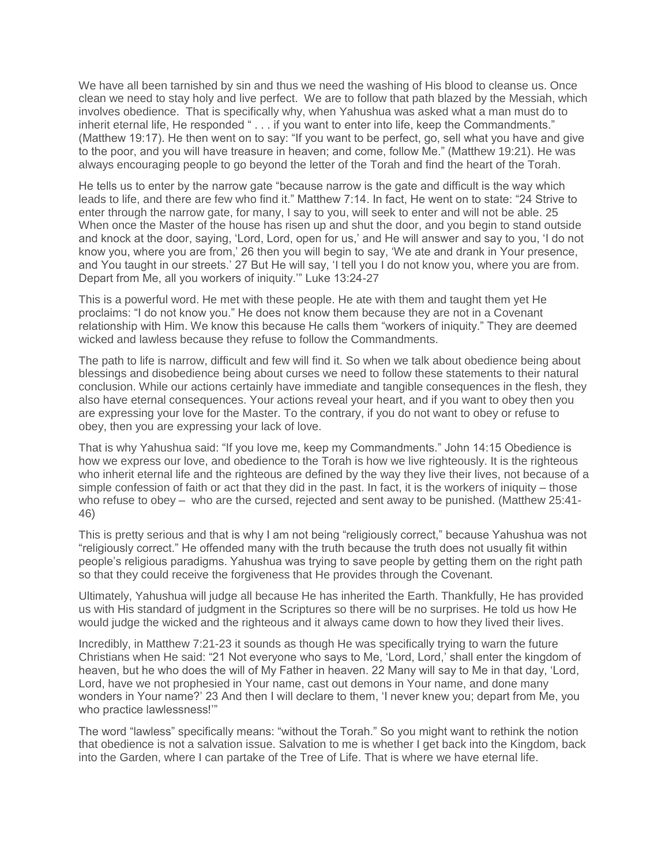We have all been tarnished by sin and thus we need the washing of His blood to cleanse us. Once clean we need to stay holy and live perfect. We are to follow that path blazed by the Messiah, which involves obedience. That is specifically why, when Yahushua was asked what a man must do to inherit eternal life, He responded " . . . if you want to enter into life, keep the Commandments." (Matthew 19:17). He then went on to say: "If you want to be perfect, go, sell what you have and give to the poor, and you will have treasure in heaven; and come, follow Me." (Matthew 19:21). He was always encouraging people to go beyond the letter of the Torah and find the heart of the Torah.

He tells us to enter by the narrow gate "because narrow is the gate and difficult is the way which leads to life, and there are few who find it." Matthew 7:14. In fact, He went on to state: "24 Strive to enter through the narrow gate, for many, I say to you, will seek to enter and will not be able. 25 When once the Master of the house has risen up and shut the door, and you begin to stand outside and knock at the door, saying, 'Lord, Lord, open for us,' and He will answer and say to you, 'I do not know you, where you are from,' 26 then you will begin to say, 'We ate and drank in Your presence, and You taught in our streets.' 27 But He will say, 'I tell you I do not know you, where you are from. Depart from Me, all you workers of iniquity.'" Luke 13:24-27

This is a powerful word. He met with these people. He ate with them and taught them yet He proclaims: "I do not know you." He does not know them because they are not in a Covenant relationship with Him. We know this because He calls them "workers of iniquity." They are deemed wicked and lawless because they refuse to follow the Commandments.

The path to life is narrow, difficult and few will find it. So when we talk about obedience being about blessings and disobedience being about curses we need to follow these statements to their natural conclusion. While our actions certainly have immediate and tangible consequences in the flesh, they also have eternal consequences. Your actions reveal your heart, and if you want to obey then you are expressing your love for the Master. To the contrary, if you do not want to obey or refuse to obey, then you are expressing your lack of love.

That is why Yahushua said: "If you love me, keep my Commandments." John 14:15 Obedience is how we express our love, and obedience to the Torah is how we live righteously. It is the righteous who inherit eternal life and the righteous are defined by the way they live their lives, not because of a simple confession of faith or act that they did in the past. In fact, it is the workers of iniquity – those who refuse to obey – who are the cursed, rejected and sent away to be punished. (Matthew 25:41- 46)

This is pretty serious and that is why I am not being "religiously correct," because Yahushua was not "religiously correct." He offended many with the truth because the truth does not usually fit within people's religious paradigms. Yahushua was trying to save people by getting them on the right path so that they could receive the forgiveness that He provides through the Covenant.

Ultimately, Yahushua will judge all because He has inherited the Earth. Thankfully, He has provided us with His standard of judgment in the Scriptures so there will be no surprises. He told us how He would judge the wicked and the righteous and it always came down to how they lived their lives.

Incredibly, in Matthew 7:21-23 it sounds as though He was specifically trying to warn the future Christians when He said: "21 Not everyone who says to Me, 'Lord, Lord,' shall enter the kingdom of heaven, but he who does the will of My Father in heaven. 22 Many will say to Me in that day, 'Lord, Lord, have we not prophesied in Your name, cast out demons in Your name, and done many wonders in Your name?' 23 And then I will declare to them, 'I never knew you; depart from Me, you who practice lawlessness!'"

The word "lawless" specifically means: "without the Torah." So you might want to rethink the notion that obedience is not a salvation issue. Salvation to me is whether I get back into the Kingdom, back into the Garden, where I can partake of the Tree of Life. That is where we have eternal life.